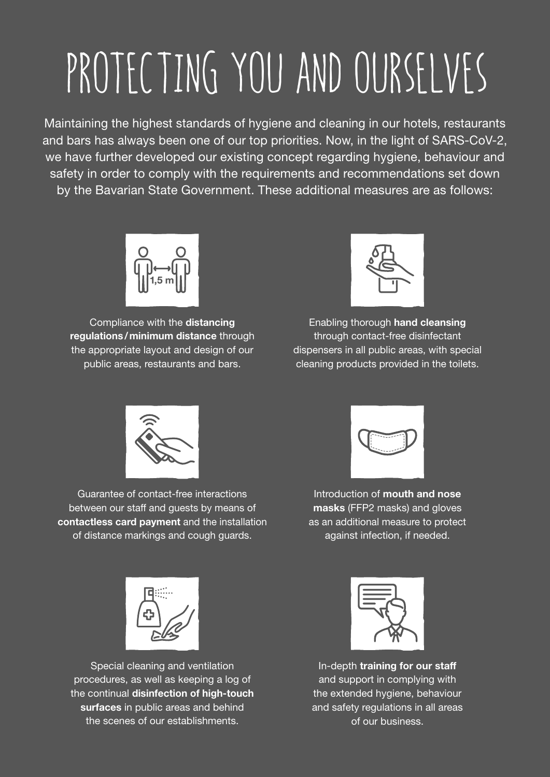## PROTECTING YOU AND OURSELVES

Maintaining the highest standards of hygiene and cleaning in our hotels, restaurants and bars has always been one of our top priorities. Now, in the light of SARS-CoV-2, we have further developed our existing concept regarding hygiene, behaviour and safety in order to comply with the requirements and recommendations set down by the Bavarian State Government. These additional measures are as follows:



Compliance with the distancing regulations/minimum distance through the appropriate layout and design of our public areas, restaurants and bars.



Enabling thorough hand cleansing through contact-free disinfectant dispensers in all public areas, with special cleaning products provided in the toilets.



Guarantee of contact-free interactions between our staff and guests by means of contactless card payment and the installation of distance markings and cough guards.



Introduction of mouth and nose masks (FFP2 masks) and gloves as an additional measure to protect against infection, if needed.



Special cleaning and ventilation procedures, as well as keeping a log of the continual disinfection of high-touch surfaces in public areas and behind the scenes of our establishments.



In-depth training for our staff and support in complying with the extended hygiene, behaviour and safety regulations in all areas of our business.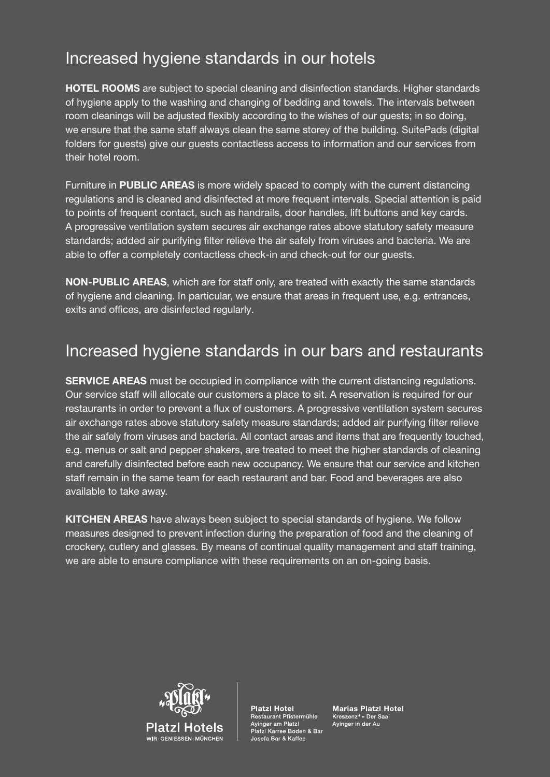## Increased hygiene standards in our hotels

HOTEL ROOMS are subject to special cleaning and disinfection standards. Higher standards of hygiene apply to the washing and changing of bedding and towels. The intervals between room cleanings will be adjusted flexibly according to the wishes of our guests; in so doing, we ensure that the same staff always clean the same storey of the building. SuitePads (digital folders for guests) give our guests contactless access to information and our services from their hotel room.

Furniture in PUBLIC AREAS is more widely spaced to comply with the current distancing regulations and is cleaned and disinfected at more frequent intervals. Special attention is paid to points of frequent contact, such as handrails, door handles, lift buttons and key cards. A progressive ventilation system secures air exchange rates above statutory safety measure standards; added air purifying filter relieve the air safely from viruses and bacteria. We are able to offer a completely contactless check-in and check-out for our guests.

NON-PUBLIC AREAS, which are for staff only, are treated with exactly the same standards of hygiene and cleaning. In particular, we ensure that areas in frequent use, e.g. entrances, exits and offices, are disinfected regularly.

## Increased hygiene standards in our bars and restaurants

SERVICE AREAS must be occupied in compliance with the current distancing regulations. Our service staff will allocate our customers a place to sit. A reservation is required for our restaurants in order to prevent a flux of customers. A progressive ventilation system secures air exchange rates above statutory safety measure standards; added air purifying filter relieve the air safely from viruses and bacteria. All contact areas and items that are frequently touched, e.g. menus or salt and pepper shakers, are treated to meet the higher standards of cleaning and carefully disinfected before each new occupancy. We ensure that our service and kitchen staff remain in the same team for each restaurant and bar. Food and beverages are also available to take away.

KITCHEN AREAS have always been subject to special standards of hygiene. We follow measures designed to prevent infection during the preparation of food and the cleaning of crockery, cutlery and glasses. By means of continual quality management and staff training, we are able to ensure compliance with these requirements on an on-going basis.



**Platzl Hotel** Restaurant Pfistermühle Ayinger am Platzl Platzl Karree Boden & Bar Josefa Bar & Kaffee

**Marias Platzl Hotel** Kreszenz<sup>4</sup> - Der Saal Ayinger in der Au